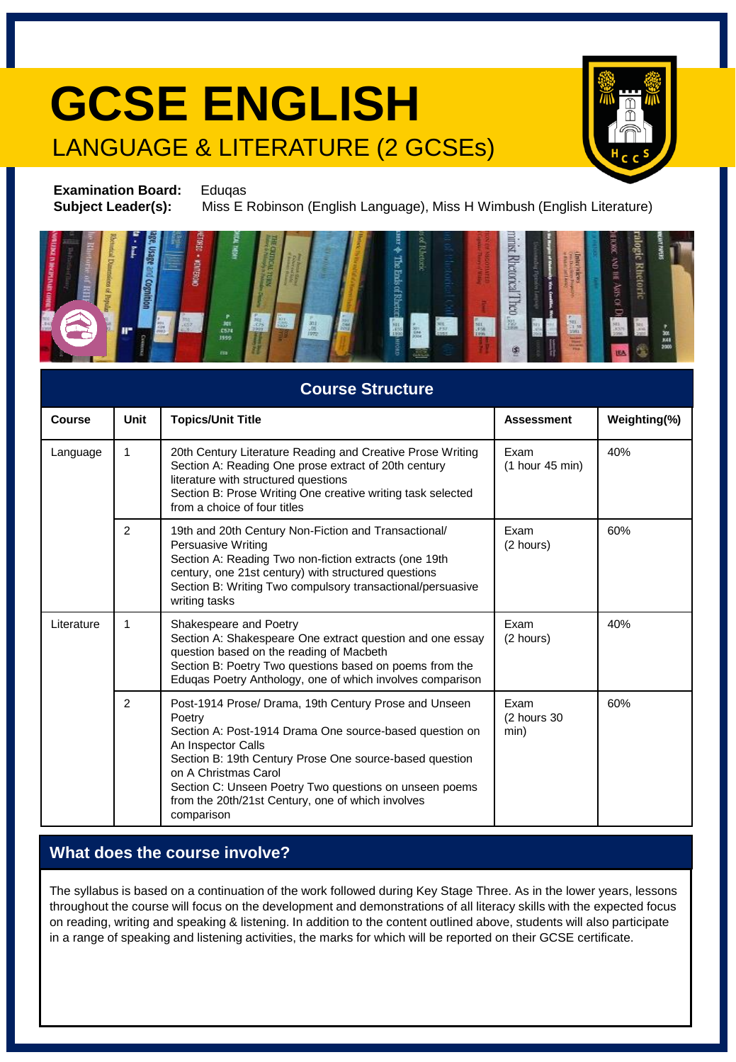## **GCSE ENGLISH** LANGUAGE & LITERATURE (2 GCSEs)



**Examination Board:** Eduqas **Subject Leader(s):** Miss E Robinson (English Language), Miss H Wimbush (English Literature)



| <b>Course Structure</b> |                |                                                                                                                                                                                                                                                                                                                                                                  |                                 |              |  |  |
|-------------------------|----------------|------------------------------------------------------------------------------------------------------------------------------------------------------------------------------------------------------------------------------------------------------------------------------------------------------------------------------------------------------------------|---------------------------------|--------------|--|--|
| Course                  | Unit           | <b>Topics/Unit Title</b>                                                                                                                                                                                                                                                                                                                                         | <b>Assessment</b>               | Weighting(%) |  |  |
| Language                | 1              | 20th Century Literature Reading and Creative Prose Writing<br>Section A: Reading One prose extract of 20th century<br>literature with structured questions<br>Section B: Prose Writing One creative writing task selected<br>from a choice of four titles                                                                                                        | Exam<br>$(1$ hour 45 min)       | 40%          |  |  |
|                         | $\overline{2}$ | 19th and 20th Century Non-Fiction and Transactional/<br><b>Persuasive Writing</b><br>Section A: Reading Two non-fiction extracts (one 19th<br>century, one 21st century) with structured questions<br>Section B: Writing Two compulsory transactional/persuasive<br>writing tasks                                                                                | Exam<br>(2 hours)               | 60%          |  |  |
| Literature              | 1              | Shakespeare and Poetry<br>Section A: Shakespeare One extract question and one essay<br>question based on the reading of Macbeth<br>Section B: Poetry Two questions based on poems from the<br>Eduqas Poetry Anthology, one of which involves comparison                                                                                                          | Exam<br>(2 hours)               | 40%          |  |  |
|                         | 2              | Post-1914 Prose/ Drama, 19th Century Prose and Unseen<br>Poetry<br>Section A: Post-1914 Drama One source-based question on<br>An Inspector Calls<br>Section B: 19th Century Prose One source-based question<br>on A Christmas Carol<br>Section C: Unseen Poetry Two questions on unseen poems<br>from the 20th/21st Century, one of which involves<br>comparison | Exam<br>$(2$ hours $30$<br>min) | 60%          |  |  |

#### **What does the course involve?**

The syllabus is based on a continuation of the work followed during Key Stage Three. As in the lower years, lessons throughout the course will focus on the development and demonstrations of all literacy skills with the expected focus on reading, writing and speaking & listening. In addition to the content outlined above, students will also participate in a range of speaking and listening activities, the marks for which will be reported on their GCSE certificate.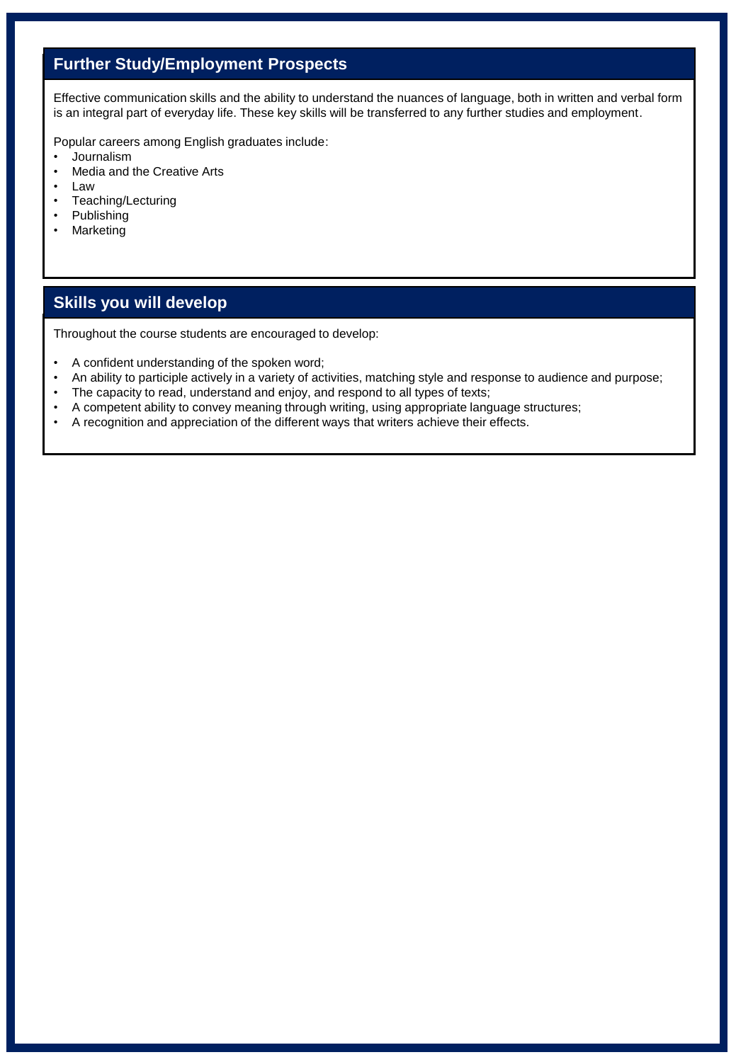### **Further Study/Employment Prospects**

Effective communication skills and the ability to understand the nuances of language, both in written and verbal form is an integral part of everyday life. These key skills will be transferred to any further studies and employment.

Popular careers among English graduates include:

- Journalism
- Media and the Creative Arts
- Law
- Teaching/Lecturing
- Publishing
- Marketing

#### **Skills you will develop**

Throughout the course students are encouraged to develop:

- A confident understanding of the spoken word;
- An ability to participle actively in a variety of activities, matching style and response to audience and purpose;
- The capacity to read, understand and enjoy, and respond to all types of texts;
- A competent ability to convey meaning through writing, using appropriate language structures;
- A recognition and appreciation of the different ways that writers achieve their effects.